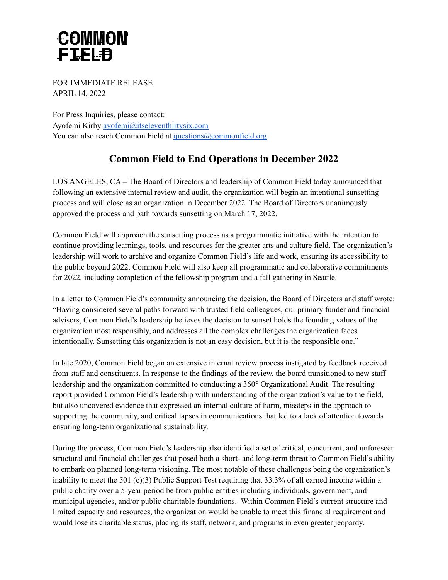## **COMMON** FIELD

FOR IMMEDIATE RELEASE APRIL 14, 2022

For Press Inquiries, please contact: Ayofemi Kirby [ayofemi@itseleventhirtysix.com](mailto:ayofemi@itseleventhirtysix.com) You can also reach Common Field at [questions@commonfield.org](mailto:questions@commonfield.org)

## **Common Field to End Operations in December 2022**

LOS ANGELES, CA – The Board of Directors and leadership of Common Field today announced that following an extensive internal review and audit, the organization will begin an intentional sunsetting process and will close as an organization in December 2022. The Board of Directors unanimously approved the process and path towards sunsetting on March 17, 2022.

Common Field will approach the sunsetting process as a programmatic initiative with the intention to continue providing learnings, tools, and resources for the greater arts and culture field. The organization's leadership will work to archive and organize Common Field's life and work, ensuring its accessibility to the public beyond 2022. Common Field will also keep all programmatic and collaborative commitments for 2022, including completion of the fellowship program and a fall gathering in Seattle.

In a letter to Common Field's community announcing the decision, the Board of Directors and staff wrote: "Having considered several paths forward with trusted field colleagues, our primary funder and financial advisors, Common Field's leadership believes the decision to sunset holds the founding values of the organization most responsibly, and addresses all the complex challenges the organization faces intentionally. Sunsetting this organization is not an easy decision, but it is the responsible one."

In late 2020, Common Field began an extensive internal review process instigated by feedback received from staff and constituents. In response to the findings of the review, the board transitioned to new staff leadership and the organization committed to conducting a 360° Organizational Audit. The resulting report provided Common Field's leadership with understanding of the organization's value to the field, but also uncovered evidence that expressed an internal culture of harm, missteps in the approach to supporting the community, and critical lapses in communications that led to a lack of attention towards ensuring long-term organizational sustainability.

During the process, Common Field's leadership also identified a set of critical, concurrent, and unforeseen structural and financial challenges that posed both a short- and long-term threat to Common Field's ability to embark on planned long-term visioning. The most notable of these challenges being the organization's inability to meet the 501 (c)(3) Public Support Test requiring that 33.3% of all earned income within a public charity over a 5-year period be from public entities including individuals, government, and municipal agencies, and/or public charitable foundations. Within Common Field's current structure and limited capacity and resources, the organization would be unable to meet this financial requirement and would lose its charitable status, placing its staff, network, and programs in even greater jeopardy.